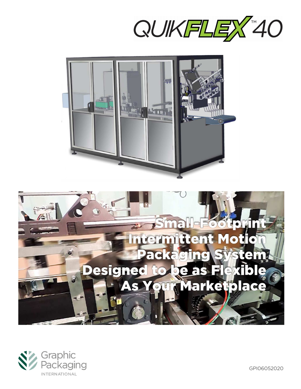







GPI06052020